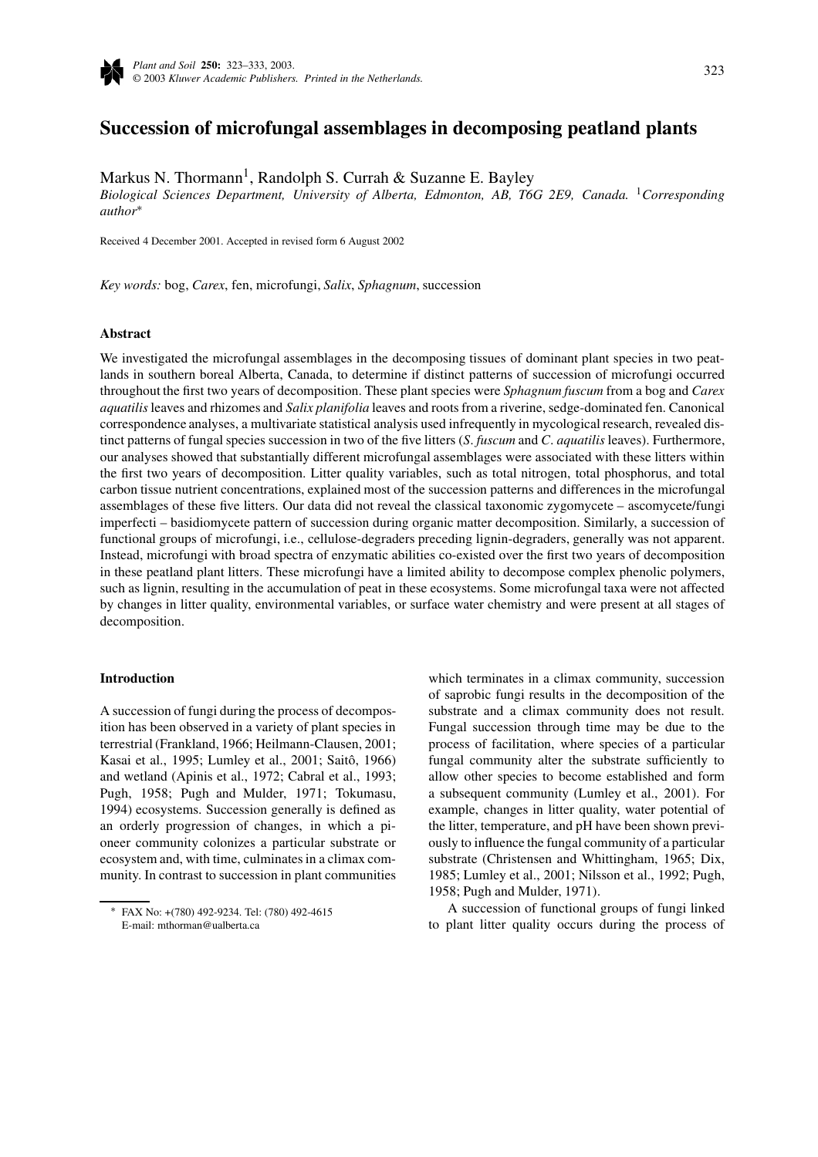

# **Succession of microfungal assemblages in decomposing peatland plants**

Markus N. Thormann<sup>1</sup>, Randolph S. Currah & Suzanne E. Bayley

*Biological Sciences Department, University of Alberta, Edmonton, AB, T6G 2E9, Canada.* <sup>1</sup>*Corresponding author*∗

Received 4 December 2001. Accepted in revised form 6 August 2002

*Key words:* bog, *Carex*, fen, microfungi, *Salix*, *Sphagnum*, succession

### **Abstract**

We investigated the microfungal assemblages in the decomposing tissues of dominant plant species in two peatlands in southern boreal Alberta, Canada, to determine if distinct patterns of succession of microfungi occurred throughout the first two years of decomposition. These plant species were *Sphagnum fuscum* from a bog and *Carex aquatilis*leaves and rhizomes and *Salix planifolia* leaves and roots from a riverine, sedge-dominated fen. Canonical correspondence analyses, a multivariate statistical analysis used infrequently in mycological research, revealed distinct patterns of fungal species succession in two of the five litters (*S*. *fuscum* and *C*. *aquatilis* leaves). Furthermore, our analyses showed that substantially different microfungal assemblages were associated with these litters within the first two years of decomposition. Litter quality variables, such as total nitrogen, total phosphorus, and total carbon tissue nutrient concentrations, explained most of the succession patterns and differences in the microfungal assemblages of these five litters. Our data did not reveal the classical taxonomic zygomycete – ascomycete/fungi imperfecti – basidiomycete pattern of succession during organic matter decomposition. Similarly, a succession of functional groups of microfungi, i.e., cellulose-degraders preceding lignin-degraders, generally was not apparent. Instead, microfungi with broad spectra of enzymatic abilities co-existed over the first two years of decomposition in these peatland plant litters. These microfungi have a limited ability to decompose complex phenolic polymers, such as lignin, resulting in the accumulation of peat in these ecosystems. Some microfungal taxa were not affected by changes in litter quality, environmental variables, or surface water chemistry and were present at all stages of decomposition.

### **Introduction**

A succession of fungi during the process of decomposition has been observed in a variety of plant species in terrestrial (Frankland, 1966; Heilmann-Clausen, 2001; Kasai et al., 1995; Lumley et al., 2001; Saitô, 1966) and wetland (Apinis et al., 1972; Cabral et al., 1993; Pugh, 1958; Pugh and Mulder, 1971; Tokumasu, 1994) ecosystems. Succession generally is defined as an orderly progression of changes, in which a pioneer community colonizes a particular substrate or ecosystem and, with time, culminates in a climax community. In contrast to succession in plant communities which terminates in a climax community, succession of saprobic fungi results in the decomposition of the substrate and a climax community does not result. Fungal succession through time may be due to the process of facilitation, where species of a particular fungal community alter the substrate sufficiently to allow other species to become established and form a subsequent community (Lumley et al., 2001). For example, changes in litter quality, water potential of the litter, temperature, and pH have been shown previously to influence the fungal community of a particular substrate (Christensen and Whittingham, 1965; Dix, 1985; Lumley et al., 2001; Nilsson et al., 1992; Pugh, 1958; Pugh and Mulder, 1971).

A succession of functional groups of fungi linked to plant litter quality occurs during the process of

<sup>∗</sup> FAX No: +(780) 492-9234. Tel: (780) 492-4615 E-mail: mthorman@ualberta.ca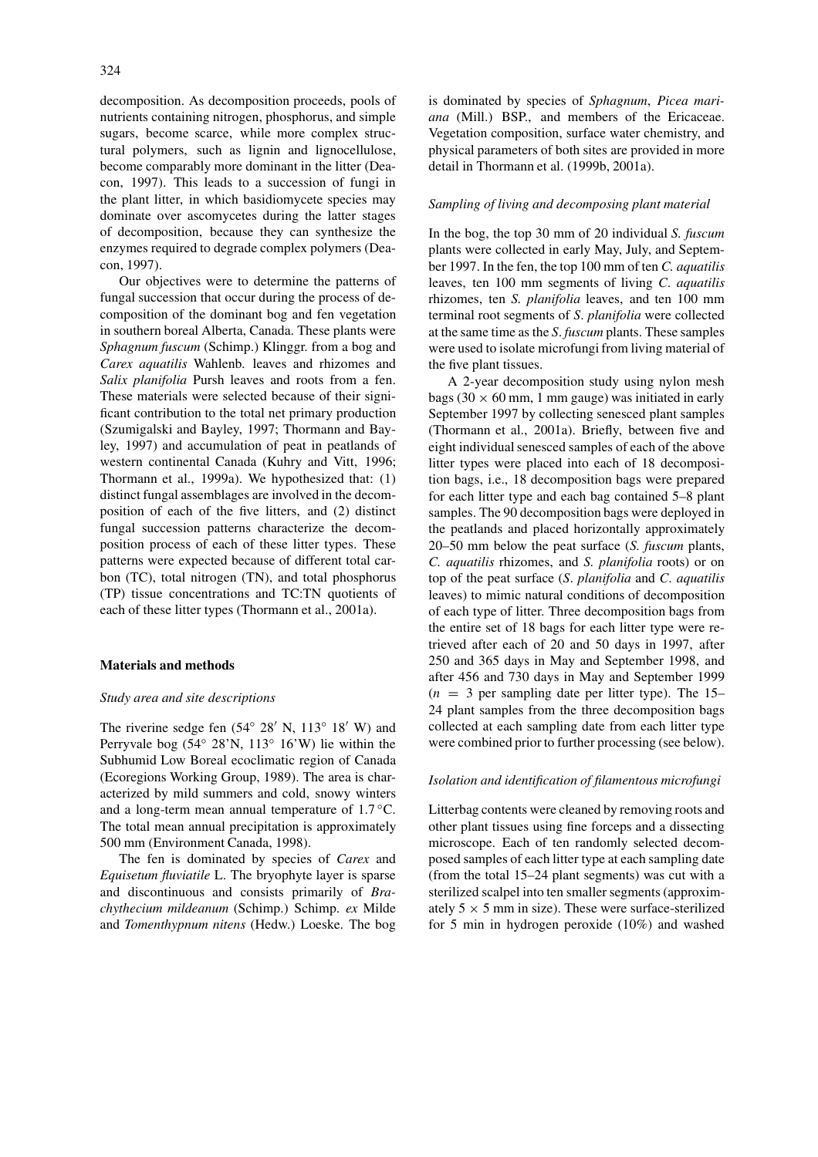decomposition. As decomposition proceeds, pools of nutrients containing nitrogen, phosphorus, and simple sugars, become scarce, while more complex structural polymers, such as lignin and lignocellulose, become comparably more dominant in the litter (Deacon, 1997). This leads to a succession of fungi in the plant litter, in which basidiomycete species may dominate over ascomycetes during the latter stages of decomposition, because they can synthesize the enzymes required to degrade complex polymers (Deacon, 1997).

Our objectives were to determine the patterns of fungal succession that occur during the process of decomposition of the dominant bog and fen vegetation in southern boreal Alberta, Canada. These plants were *Sphagnum fuscum* (Schimp.) Klinggr. from a bog and *Carex aquatilis* Wahlenb. leaves and rhizomes and *Salix planifolia* Pursh leaves and roots from a fen. These materials were selected because of their significant contribution to the total net primary production (Szumigalski and Bayley, 1997; Thormann and Bayley, 1997) and accumulation of peat in peatlands of western continental Canada (Kuhry and Vitt, 1996; Thormann et al., 1999a). We hypothesized that: (1) distinct fungal assemblages are involved in the decomposition of each of the five litters, and (2) distinct fungal succession patterns characterize the decomposition process of each of these litter types. These patterns were expected because of different total carbon (TC), total nitrogen (TN), and total phosphorus (TP) tissue concentrations and TC:TN quotients of each of these litter types (Thormann et al., 2001a).

### **Materials and methods**

### *Study area and site descriptions*

The riverine sedge fen (54° 28′ N, 113° 18′ W) and Perryvale bog (54◦ 28'N, 113◦ 16'W) lie within the Subhumid Low Boreal ecoclimatic region of Canada (Ecoregions Working Group, 1989). The area is characterized by mild summers and cold, snowy winters and a long-term mean annual temperature of  $1.7 \degree C$ . The total mean annual precipitation is approximately 500 mm (Environment Canada, 1998).

The fen is dominated by species of *Carex* and *Equisetum fluviatile* L. The bryophyte layer is sparse and discontinuous and consists primarily of *Brachythecium mildeanum* (Schimp.) Schimp. *ex* Milde and *Tomenthypnum nitens* (Hedw.) Loeske. The bog

is dominated by species of *Sphagnum*, *Picea mariana* (Mill.) BSP., and members of the Ericaceae. Vegetation composition, surface water chemistry, and physical parameters of both sites are provided in more detail in Thormann et al. (1999b, 2001a).

### *Sampling of living and decomposing plant material*

In the bog, the top 30 mm of 20 individual *S. fuscum* plants were collected in early May, July, and September 1997. In the fen, the top 100 mm of ten *C. aquatilis* leaves, ten 100 mm segments of living *C*. *aquatilis* rhizomes, ten *S. planifolia* leaves, and ten 100 mm terminal root segments of *S*. *planifolia* were collected at the same time as the *S*. *fuscum* plants. These samples were used to isolate microfungi from living material of the five plant tissues.

A 2-year decomposition study using nylon mesh bags (30  $\times$  60 mm, 1 mm gauge) was initiated in early September 1997 by collecting senesced plant samples (Thormann et al., 2001a). Briefly, between five and eight individual senesced samples of each of the above litter types were placed into each of 18 decomposition bags, i.e., 18 decomposition bags were prepared for each litter type and each bag contained 5–8 plant samples. The 90 decomposition bags were deployed in the peatlands and placed horizontally approximately 20–50 mm below the peat surface (*S. fuscum* plants, *C. aquatilis* rhizomes, and *S. planifolia* roots) or on top of the peat surface (*S*. *planifolia* and *C*. *aquatilis* leaves) to mimic natural conditions of decomposition of each type of litter. Three decomposition bags from the entire set of 18 bags for each litter type were retrieved after each of 20 and 50 days in 1997, after 250 and 365 days in May and September 1998, and after 456 and 730 days in May and September 1999  $(n = 3$  per sampling date per litter type). The 15– 24 plant samples from the three decomposition bags collected at each sampling date from each litter type were combined prior to further processing (see below).

### *Isolation and identification of filamentous microfungi*

Litterbag contents were cleaned by removing roots and other plant tissues using fine forceps and a dissecting microscope. Each of ten randomly selected decomposed samples of each litter type at each sampling date (from the total 15–24 plant segments) was cut with a sterilized scalpel into ten smaller segments (approximately  $5 \times 5$  mm in size). These were surface-sterilized for 5 min in hydrogen peroxide (10%) and washed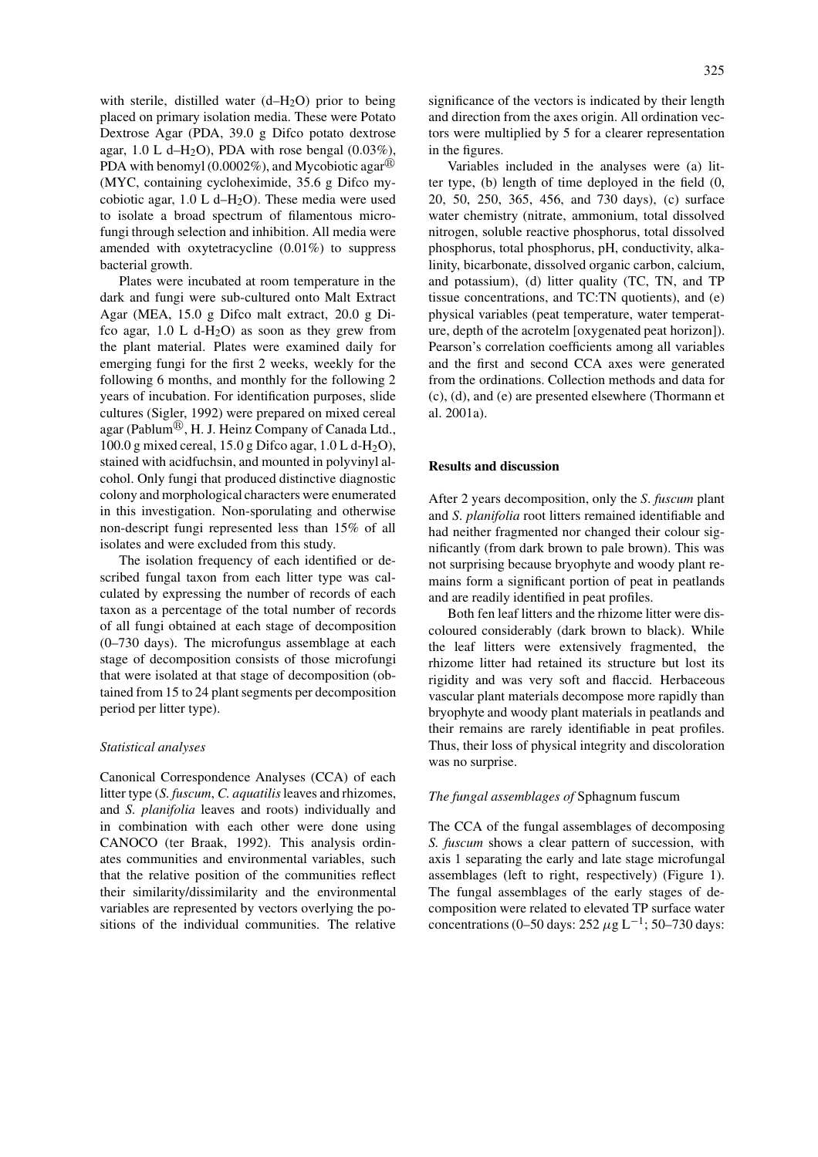with sterile, distilled water  $(d-H<sub>2</sub>O)$  prior to being placed on primary isolation media. These were Potato Dextrose Agar (PDA, 39.0 g Difco potato dextrose agar,  $1.0$  L d–H<sub>2</sub>O), PDA with rose bengal  $(0.03\%)$ , PDA with benomyl  $(0.0002\%)$ , and Mycobiotic agar<sup>(B)</sup> (MYC, containing cycloheximide, 35.6 g Difco mycobiotic agar,  $1.0$  L d–H<sub>2</sub>O). These media were used to isolate a broad spectrum of filamentous microfungi through selection and inhibition. All media were amended with oxytetracycline (0.01%) to suppress bacterial growth.

Plates were incubated at room temperature in the dark and fungi were sub-cultured onto Malt Extract Agar (MEA, 15.0 g Difco malt extract, 20.0 g Difco agar,  $1.0 \text{ L } d\text{-H}_2\text{O}$  as soon as they grew from the plant material. Plates were examined daily for emerging fungi for the first 2 weeks, weekly for the following 6 months, and monthly for the following 2 years of incubation. For identification purposes, slide cultures (Sigler, 1992) were prepared on mixed cereal agar (Pablum $\mathcal{B}$ , H. J. Heinz Company of Canada Ltd., 100.0 g mixed cereal, 15.0 g Difco agar, 1.0 L d-H2O), stained with acidfuchsin, and mounted in polyvinyl alcohol. Only fungi that produced distinctive diagnostic colony and morphological characters were enumerated in this investigation. Non-sporulating and otherwise non-descript fungi represented less than 15% of all isolates and were excluded from this study.

The isolation frequency of each identified or described fungal taxon from each litter type was calculated by expressing the number of records of each taxon as a percentage of the total number of records of all fungi obtained at each stage of decomposition (0–730 days). The microfungus assemblage at each stage of decomposition consists of those microfungi that were isolated at that stage of decomposition (obtained from 15 to 24 plant segments per decomposition period per litter type).

### *Statistical analyses*

Canonical Correspondence Analyses (CCA) of each litter type (*S. fuscum*, *C. aquatilis*leaves and rhizomes, and *S. planifolia* leaves and roots) individually and in combination with each other were done using CANOCO (ter Braak, 1992). This analysis ordinates communities and environmental variables, such that the relative position of the communities reflect their similarity/dissimilarity and the environmental variables are represented by vectors overlying the positions of the individual communities. The relative significance of the vectors is indicated by their length and direction from the axes origin. All ordination vectors were multiplied by 5 for a clearer representation in the figures.

Variables included in the analyses were (a) litter type, (b) length of time deployed in the field (0, 20, 50, 250, 365, 456, and 730 days), (c) surface water chemistry (nitrate, ammonium, total dissolved nitrogen, soluble reactive phosphorus, total dissolved phosphorus, total phosphorus, pH, conductivity, alkalinity, bicarbonate, dissolved organic carbon, calcium, and potassium), (d) litter quality (TC, TN, and TP tissue concentrations, and TC:TN quotients), and (e) physical variables (peat temperature, water temperature, depth of the acrotelm [oxygenated peat horizon]). Pearson's correlation coefficients among all variables and the first and second CCA axes were generated from the ordinations. Collection methods and data for (c), (d), and (e) are presented elsewhere (Thormann et al. 2001a).

### **Results and discussion**

After 2 years decomposition, only the *S*. *fuscum* plant and *S*. *planifolia* root litters remained identifiable and had neither fragmented nor changed their colour significantly (from dark brown to pale brown). This was not surprising because bryophyte and woody plant remains form a significant portion of peat in peatlands and are readily identified in peat profiles.

Both fen leaf litters and the rhizome litter were discoloured considerably (dark brown to black). While the leaf litters were extensively fragmented, the rhizome litter had retained its structure but lost its rigidity and was very soft and flaccid. Herbaceous vascular plant materials decompose more rapidly than bryophyte and woody plant materials in peatlands and their remains are rarely identifiable in peat profiles. Thus, their loss of physical integrity and discoloration was no surprise.

#### *The fungal assemblages of* Sphagnum fuscum

The CCA of the fungal assemblages of decomposing *S. fuscum* shows a clear pattern of succession, with axis 1 separating the early and late stage microfungal assemblages (left to right, respectively) (Figure 1). The fungal assemblages of the early stages of decomposition were related to elevated TP surface water concentrations (0–50 days: 252 *µ*g L−1; 50–730 days: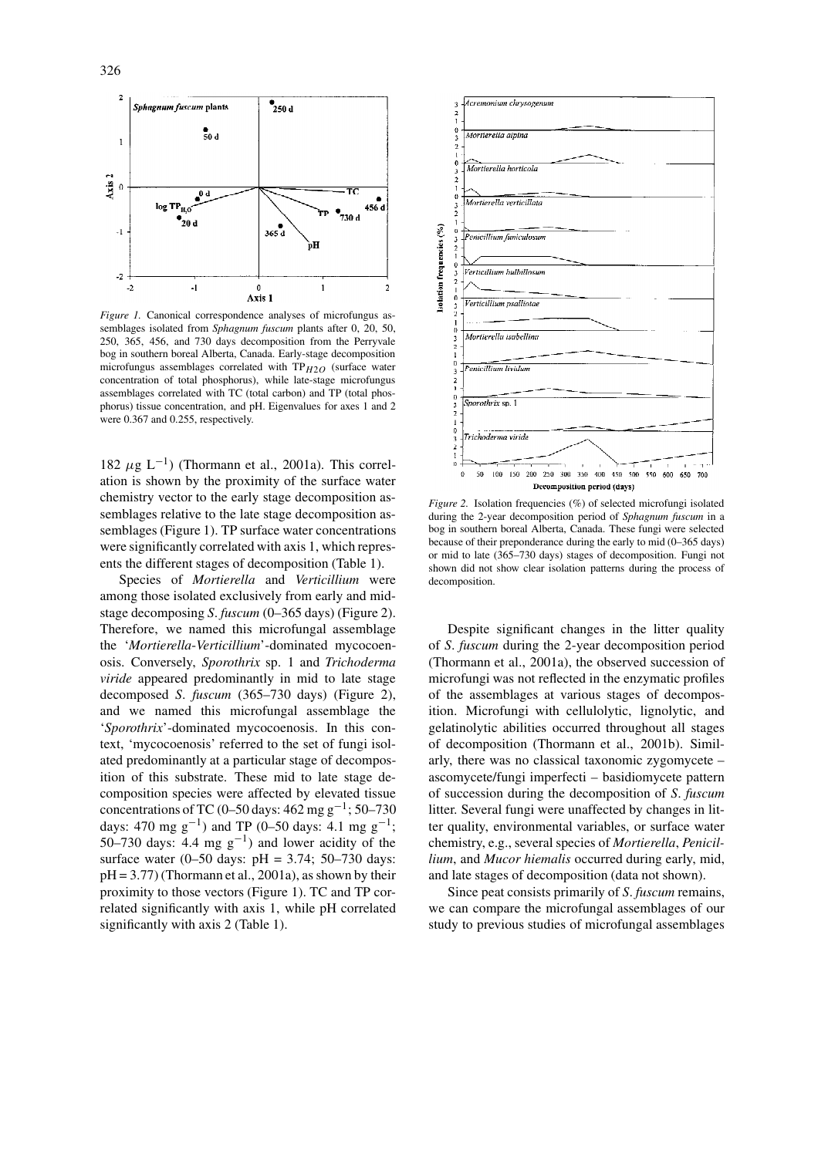



 $456d$ 

182  $\mu$ g L<sup>-1</sup>) (Thormann et al., 2001a). This correlation is shown by the proximity of the surface water chemistry vector to the early stage decomposition assemblages relative to the late stage decomposition assemblages (Figure 1). TP surface water concentrations were significantly correlated with axis 1, which represents the different stages of decomposition (Table 1).

Species of *Mortierella* and *Verticillium* were among those isolated exclusively from early and midstage decomposing *S*. *fuscum* (0–365 days) (Figure 2). Therefore, we named this microfungal assemblage the '*Mortierella*-*Verticillium*'-dominated mycocoenosis. Conversely, *Sporothrix* sp. 1 and *Trichoderma viride* appeared predominantly in mid to late stage decomposed *S*. *fuscum* (365–730 days) (Figure 2), and we named this microfungal assemblage the '*Sporothrix*'-dominated mycocoenosis. In this context, 'mycocoenosis' referred to the set of fungi isolated predominantly at a particular stage of decomposition of this substrate. These mid to late stage decomposition species were affected by elevated tissue concentrations of TC (0–50 days:  $462 \text{ mg g}^{-1}$ ; 50–730 days: 470 mg g<sup>-1</sup>) and TP (0–50 days: 4.1 mg g<sup>-1</sup>; 50–730 days: 4.4 mg  $g^{-1}$ ) and lower acidity of the surface water  $(0-50 \text{ days: pH} = 3.74; 50-730 \text{ days:}$  $pH = 3.77$ ) (Thormann et al., 2001a), as shown by their proximity to those vectors (Figure 1). TC and TP correlated significantly with axis 1, while pH correlated significantly with axis 2 (Table 1).



*Figure 2.* Isolation frequencies (%) of selected microfungi isolated during the 2-year decomposition period of *Sphagnum fuscum* in a bog in southern boreal Alberta, Canada. These fungi were selected because of their preponderance during the early to mid (0–365 days) or mid to late (365–730 days) stages of decomposition. Fungi not shown did not show clear isolation patterns during the process of decomposition.

Despite significant changes in the litter quality of *S*. *fuscum* during the 2-year decomposition period (Thormann et al., 2001a), the observed succession of microfungi was not reflected in the enzymatic profiles of the assemblages at various stages of decomposition. Microfungi with cellulolytic, lignolytic, and gelatinolytic abilities occurred throughout all stages of decomposition (Thormann et al., 2001b). Similarly, there was no classical taxonomic zygomycete – ascomycete/fungi imperfecti – basidiomycete pattern of succession during the decomposition of *S*. *fuscum* litter. Several fungi were unaffected by changes in litter quality, environmental variables, or surface water chemistry, e.g., several species of *Mortierella*, *Penicillium*, and *Mucor hiemalis* occurred during early, mid, and late stages of decomposition (data not shown).

Since peat consists primarily of *S*. *fuscum* remains, we can compare the microfungal assemblages of our study to previous studies of microfungal assemblages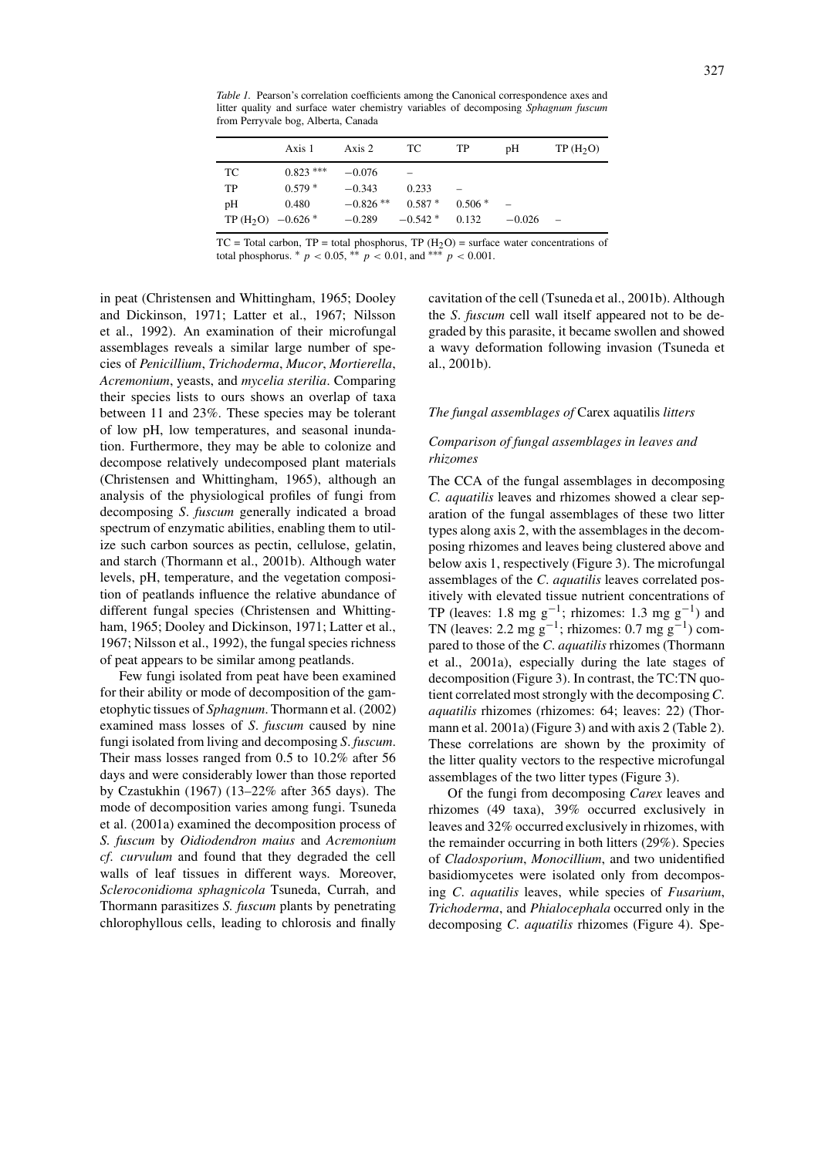*Table 1.* Pearson's correlation coefficients among the Canonical correspondence axes and litter quality and surface water chemistry variables of decomposing *Sphagnum fuscum* from Perryvale bog, Alberta, Canada

|                        | Axis 1     | Axis 2                | TC         | TP       | рH       | TP(H <sub>2</sub> O)     |
|------------------------|------------|-----------------------|------------|----------|----------|--------------------------|
| TC                     | $0.823***$ | $-0.076$              |            |          |          |                          |
| TP                     | $0.579*$   | $-0.343$              | 0.233      |          |          |                          |
| pH                     | 0.480      | $-0.826$ ** $0.587$ * |            | $0.506*$ |          |                          |
| TP $(H_2O)$ -0.626 $*$ |            | $-0.289$              | $-0.542$ * | 0.132    | $-0.026$ | $\overline{\phantom{a}}$ |

TC = Total carbon, TP = total phosphorus, TP  $(H_2O)$  = surface water concentrations of total phosphorus. \*  $p < 0.05$ , \*\*  $p < 0.01$ , and \*\*\*  $p < 0.001$ .

in peat (Christensen and Whittingham, 1965; Dooley and Dickinson, 1971; Latter et al., 1967; Nilsson et al., 1992). An examination of their microfungal assemblages reveals a similar large number of species of *Penicillium*, *Trichoderma*, *Mucor*, *Mortierella*, *Acremonium*, yeasts, and *mycelia sterilia*. Comparing their species lists to ours shows an overlap of taxa between 11 and 23%. These species may be tolerant of low pH, low temperatures, and seasonal inundation. Furthermore, they may be able to colonize and decompose relatively undecomposed plant materials (Christensen and Whittingham, 1965), although an analysis of the physiological profiles of fungi from decomposing *S*. *fuscum* generally indicated a broad spectrum of enzymatic abilities, enabling them to utilize such carbon sources as pectin, cellulose, gelatin, and starch (Thormann et al., 2001b). Although water levels, pH, temperature, and the vegetation composition of peatlands influence the relative abundance of different fungal species (Christensen and Whittingham, 1965; Dooley and Dickinson, 1971; Latter et al., 1967; Nilsson et al., 1992), the fungal species richness of peat appears to be similar among peatlands.

Few fungi isolated from peat have been examined for their ability or mode of decomposition of the gametophytic tissues of *Sphagnum*. Thormann et al. (2002) examined mass losses of *S*. *fuscum* caused by nine fungi isolated from living and decomposing *S*. *fuscum*. Their mass losses ranged from 0.5 to 10.2% after 56 days and were considerably lower than those reported by Czastukhin (1967) (13–22% after 365 days). The mode of decomposition varies among fungi. Tsuneda et al. (2001a) examined the decomposition process of *S. fuscum* by *Oidiodendron maius* and *Acremonium cf*. *curvulum* and found that they degraded the cell walls of leaf tissues in different ways. Moreover, *Scleroconidioma sphagnicola* Tsuneda, Currah, and Thormann parasitizes *S. fuscum* plants by penetrating chlorophyllous cells, leading to chlorosis and finally

cavitation of the cell (Tsuneda et al., 2001b). Although the *S*. *fuscum* cell wall itself appeared not to be degraded by this parasite, it became swollen and showed a wavy deformation following invasion (Tsuneda et al., 2001b).

### *The fungal assemblages of* Carex aquatilis *litters*

# *Comparison of fungal assemblages in leaves and rhizomes*

The CCA of the fungal assemblages in decomposing *C. aquatilis* leaves and rhizomes showed a clear separation of the fungal assemblages of these two litter types along axis 2, with the assemblages in the decomposing rhizomes and leaves being clustered above and below axis 1, respectively (Figure 3). The microfungal assemblages of the *C*. *aquatilis* leaves correlated positively with elevated tissue nutrient concentrations of TP (leaves: 1.8 mg  $g^{-1}$ ; rhizomes: 1.3 mg  $g^{-1}$ ) and TN (leaves: 2.2 mg g<sup>-1</sup>; rhizomes: 0.7 mg g<sup>-1</sup>) compared to those of the *C*. *aquatilis* rhizomes (Thormann et al., 2001a), especially during the late stages of decomposition (Figure 3). In contrast, the TC:TN quotient correlated most strongly with the decomposing*C*. *aquatilis* rhizomes (rhizomes: 64; leaves: 22) (Thormann et al. 2001a) (Figure 3) and with axis 2 (Table 2). These correlations are shown by the proximity of the litter quality vectors to the respective microfungal assemblages of the two litter types (Figure 3).

Of the fungi from decomposing *Carex* leaves and rhizomes (49 taxa), 39% occurred exclusively in leaves and 32% occurred exclusively in rhizomes, with the remainder occurring in both litters (29%). Species of *Cladosporium*, *Monocillium*, and two unidentified basidiomycetes were isolated only from decomposing *C*. *aquatilis* leaves, while species of *Fusarium*, *Trichoderma*, and *Phialocephala* occurred only in the decomposing *C*. *aquatilis* rhizomes (Figure 4). Spe-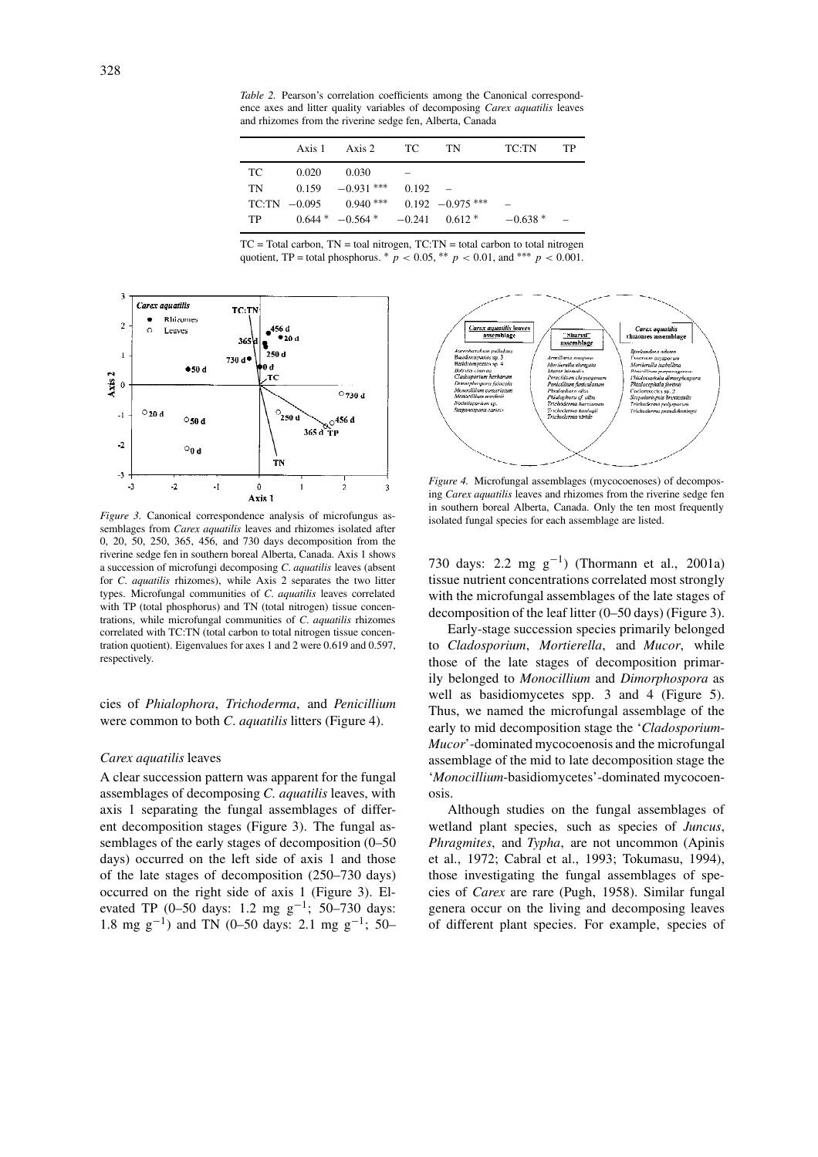*Table 2.* Pearson's correlation coefficients among the Canonical correspondence axes and litter quality variables of decomposing *Carex aquatilis* leaves and rhizomes from the riverine sedge fen, Alberta, Canada

|     | Axis 1 | Axis 2                                                 | TC.   | TN | TC:TN     | TP |
|-----|--------|--------------------------------------------------------|-------|----|-----------|----|
| TC  | 0.020  | 0.030                                                  |       |    |           |    |
| TN  |        | $0.159 -0.931$ ***                                     | 0.192 |    |           |    |
|     |        | TC:TN $-0.095$ 0.940 <sup>***</sup> 0.192 $-0.975$ *** |       |    |           |    |
| TP. |        | $0.644* -0.564* -0.241 \quad 0.612*$                   |       |    | $-0.638*$ |    |

TC = Total carbon, TN = toal nitrogen, TC:TN = total carbon to total nitrogen quotient, TP = total phosphorus. \*  $p < 0.05$ , \*\*  $p < 0.01$ , and \*\*\*  $p < 0.001$ .



*Figure 3.* Canonical correspondence analysis of microfungus assemblages from *Carex aquatilis* leaves and rhizomes isolated after 0, 20, 50, 250, 365, 456, and 730 days decomposition from the riverine sedge fen in southern boreal Alberta, Canada. Axis 1 shows a succession of microfungi decomposing *C*. *aquatilis* leaves (absent for *C*. *aquatilis* rhizomes), while Axis 2 separates the two litter types. Microfungal communities of *C*. *aquatilis* leaves correlated with TP (total phosphorus) and TN (total nitrogen) tissue concentrations, while microfungal communities of *C*. *aquatilis* rhizomes correlated with TC:TN (total carbon to total nitrogen tissue concentration quotient). Eigenvalues for axes 1 and 2 were 0.619 and 0.597, respectively.

cies of *Phialophora*, *Trichoderma*, and *Penicillium* were common to both *C*. *aquatilis* litters (Figure 4).

### *Carex aquatilis* leaves

A clear succession pattern was apparent for the fungal assemblages of decomposing *C. aquatilis* leaves, with axis 1 separating the fungal assemblages of different decomposition stages (Figure 3). The fungal assemblages of the early stages of decomposition (0–50 days) occurred on the left side of axis 1 and those of the late stages of decomposition (250–730 days) occurred on the right side of axis 1 (Figure 3). Elevated TP (0–50 days: 1.2 mg  $g^{-1}$ ; 50–730 days: 1.8 mg g<sup>-1</sup>) and TN (0–50 days: 2.1 mg g<sup>-1</sup>; 50–

![](_page_5_Figure_8.jpeg)

*Figure 4.* Microfungal assemblages (mycocoenoses) of decomposing *Carex aquatilis* leaves and rhizomes from the riverine sedge fen in southern boreal Alberta, Canada. Only the ten most frequently isolated fungal species for each assemblage are listed.

730 days: 2.2 mg g−1) (Thormann et al., 2001a) tissue nutrient concentrations correlated most strongly with the microfungal assemblages of the late stages of decomposition of the leaf litter (0–50 days) (Figure 3).

Early-stage succession species primarily belonged to *Cladosporium*, *Mortierella*, and *Mucor*, while those of the late stages of decomposition primarily belonged to *Monocillium* and *Dimorphospora* as well as basidiomycetes spp. 3 and 4 (Figure 5). Thus, we named the microfungal assemblage of the early to mid decomposition stage the '*Cladosporium*-*Mucor*'-dominated mycocoenosis and the microfungal assemblage of the mid to late decomposition stage the '*Monocillium*-basidiomycetes'-dominated mycocoenosis.

Although studies on the fungal assemblages of wetland plant species, such as species of *Juncus*, *Phragmites*, and *Typha*, are not uncommon (Apinis et al., 1972; Cabral et al., 1993; Tokumasu, 1994), those investigating the fungal assemblages of species of *Carex* are rare (Pugh, 1958). Similar fungal genera occur on the living and decomposing leaves of different plant species. For example, species of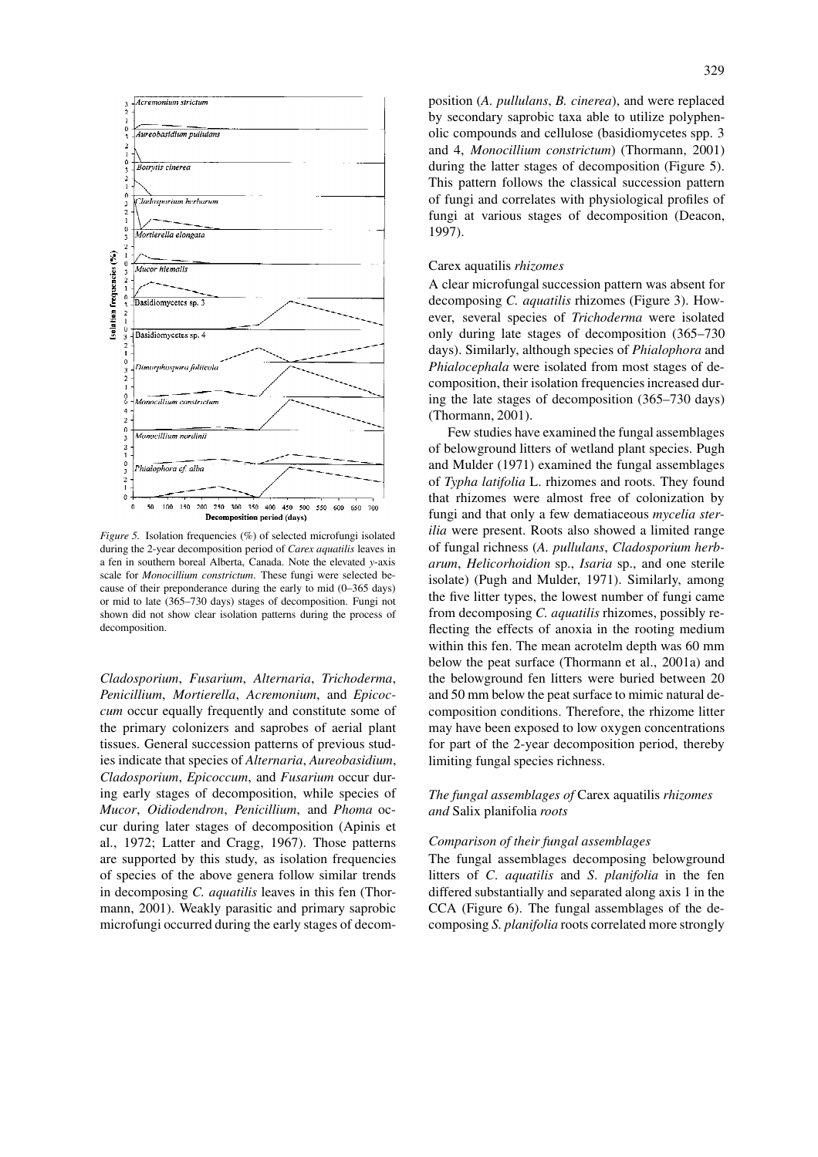![](_page_6_Figure_0.jpeg)

*Figure 5.* Isolation frequencies (%) of selected microfungi isolated during the 2-year decomposition period of *Carex aquatilis* leaves in a fen in southern boreal Alberta, Canada. Note the elevated *y*-axis scale for *Monocillium constrictum*. These fungi were selected because of their preponderance during the early to mid (0–365 days) or mid to late (365–730 days) stages of decomposition. Fungi not shown did not show clear isolation patterns during the process of decomposition.

*Cladosporium*, *Fusarium*, *Alternaria*, *Trichoderma*, *Penicillium*, *Mortierella*, *Acremonium*, and *Epicoccum* occur equally frequently and constitute some of the primary colonizers and saprobes of aerial plant tissues. General succession patterns of previous studies indicate that species of *Alternaria*, *Aureobasidium*, *Cladosporium*, *Epicoccum*, and *Fusarium* occur during early stages of decomposition, while species of *Mucor*, *Oidiodendron*, *Penicillium*, and *Phoma* occur during later stages of decomposition (Apinis et al., 1972; Latter and Cragg, 1967). Those patterns are supported by this study, as isolation frequencies of species of the above genera follow similar trends in decomposing *C. aquatilis* leaves in this fen (Thormann, 2001). Weakly parasitic and primary saprobic microfungi occurred during the early stages of decomposition (*A. pullulans*, *B. cinerea*), and were replaced by secondary saprobic taxa able to utilize polyphenolic compounds and cellulose (basidiomycetes spp. 3 and 4, *Monocillium constrictum*) (Thormann, 2001) during the latter stages of decomposition (Figure 5). This pattern follows the classical succession pattern of fungi and correlates with physiological profiles of fungi at various stages of decomposition (Deacon, 1997).

# Carex aquatilis *rhizomes*

A clear microfungal succession pattern was absent for decomposing *C. aquatilis* rhizomes (Figure 3). However, several species of *Trichoderma* were isolated only during late stages of decomposition (365–730 days). Similarly, although species of *Phialophora* and *Phialocephala* were isolated from most stages of decomposition, their isolation frequencies increased during the late stages of decomposition (365–730 days) (Thormann, 2001).

Few studies have examined the fungal assemblages of belowground litters of wetland plant species. Pugh and Mulder (1971) examined the fungal assemblages of *Typha latifolia* L. rhizomes and roots. They found that rhizomes were almost free of colonization by fungi and that only a few dematiaceous *mycelia sterilia* were present. Roots also showed a limited range of fungal richness (*A. pullulans*, *Cladosporium herbarum*, *Helicorhoidion* sp., *Isaria* sp., and one sterile isolate) (Pugh and Mulder, 1971). Similarly, among the five litter types, the lowest number of fungi came from decomposing *C. aquatilis* rhizomes, possibly reflecting the effects of anoxia in the rooting medium within this fen. The mean acrotelm depth was 60 mm below the peat surface (Thormann et al., 2001a) and the belowground fen litters were buried between 20 and 50 mm below the peat surface to mimic natural decomposition conditions. Therefore, the rhizome litter may have been exposed to low oxygen concentrations for part of the 2-year decomposition period, thereby limiting fungal species richness.

# *The fungal assemblages of* Carex aquatilis *rhizomes and* Salix planifolia *roots*

### *Comparison of their fungal assemblages*

The fungal assemblages decomposing belowground litters of *C*. *aquatilis* and *S*. *planifolia* in the fen differed substantially and separated along axis 1 in the CCA (Figure 6). The fungal assemblages of the decomposing *S. planifolia* roots correlated more strongly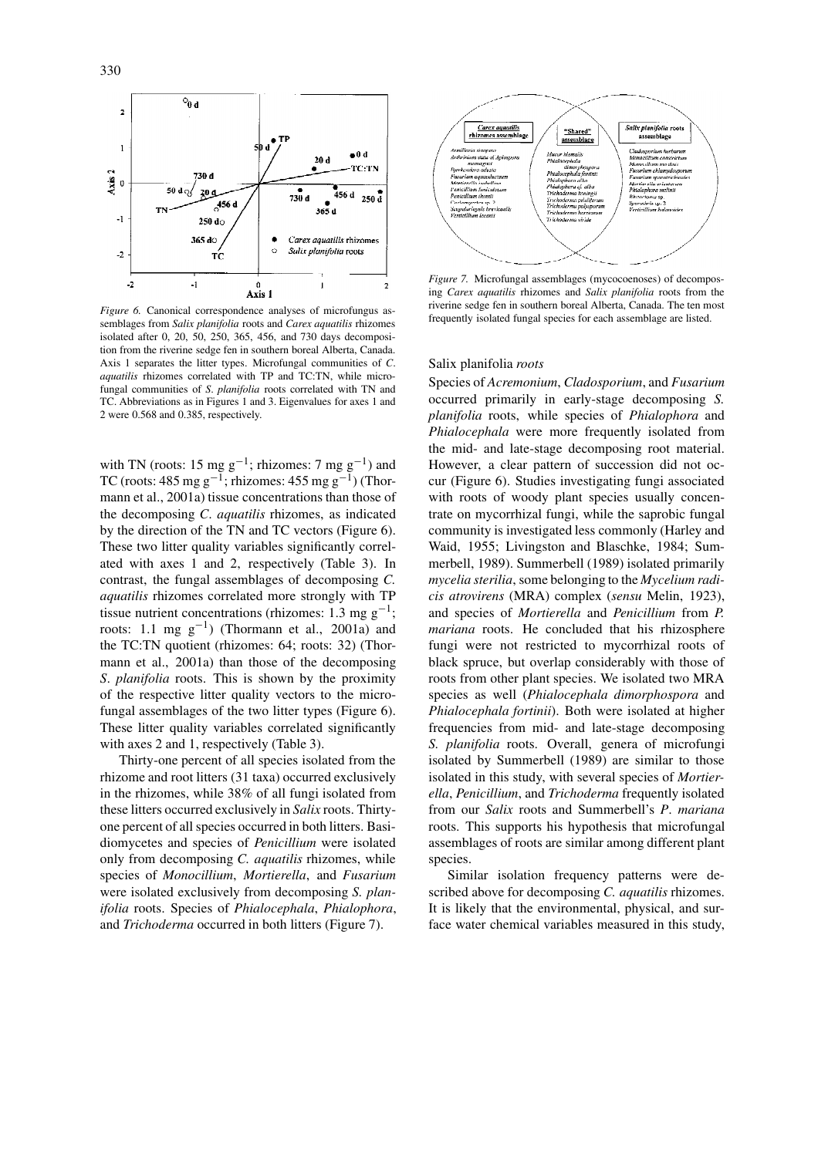![](_page_7_Figure_0.jpeg)

 $\ddot{\mathbf{1}}$ 

*Figure 6.* Canonical correspondence analyses of microfungus assemblages from *Salix planifolia* roots and *Carex aquatilis* rhizomes isolated after 0, 20, 50, 250, 365, 456, and 730 days decomposition from the riverine sedge fen in southern boreal Alberta, Canada. Axis 1 separates the litter types. Microfungal communities of *C*. *aquatilis* rhizomes correlated with TP and TC:TN, while microfungal communities of *S*. *planifolia* roots correlated with TN and TC. Abbreviations as in Figures 1 and 3. Eigenvalues for axes 1 and 2 were 0.568 and 0.385, respectively.

Axis 1

with TN (roots: 15 mg  $g^{-1}$ ; rhizomes: 7 mg  $g^{-1}$ ) and TC (roots: 485 mg g<sup>-1</sup>; rhizomes: 455 mg g<sup>-1</sup>) (Thormann et al., 2001a) tissue concentrations than those of the decomposing *C*. *aquatilis* rhizomes, as indicated by the direction of the TN and TC vectors (Figure 6). These two litter quality variables significantly correlated with axes 1 and 2, respectively (Table 3). In contrast, the fungal assemblages of decomposing *C. aquatilis* rhizomes correlated more strongly with TP tissue nutrient concentrations (rhizomes: 1.3 mg  $g^{-1}$ ; roots: 1.1 mg  $g^{-1}$ ) (Thormann et al., 2001a) and the TC:TN quotient (rhizomes: 64; roots: 32) (Thormann et al., 2001a) than those of the decomposing *S*. *planifolia* roots. This is shown by the proximity of the respective litter quality vectors to the microfungal assemblages of the two litter types (Figure 6). These litter quality variables correlated significantly with axes 2 and 1, respectively (Table 3).

Thirty-one percent of all species isolated from the rhizome and root litters (31 taxa) occurred exclusively in the rhizomes, while 38% of all fungi isolated from these litters occurred exclusively in *Salix* roots. Thirtyone percent of all species occurred in both litters. Basidiomycetes and species of *Penicillium* were isolated only from decomposing *C. aquatilis* rhizomes, while species of *Monocillium*, *Mortierella*, and *Fusarium* were isolated exclusively from decomposing *S. planifolia* roots. Species of *Phialocephala*, *Phialophora*, and *Trichoderma* occurred in both litters (Figure 7).

![](_page_7_Figure_4.jpeg)

*Figure 7.* Microfungal assemblages (mycocoenoses) of decomposing *Carex aquatilis* rhizomes and *Salix planifolia* roots from the riverine sedge fen in southern boreal Alberta, Canada. The ten most frequently isolated fungal species for each assemblage are listed.

#### Salix planifolia *roots*

250 d

 $\overline{2}$ 

 $\overline{1}$ 

Species of *Acremonium*, *Cladosporium*, and *Fusarium* occurred primarily in early-stage decomposing *S. planifolia* roots, while species of *Phialophora* and *Phialocephala* were more frequently isolated from the mid- and late-stage decomposing root material. However, a clear pattern of succession did not occur (Figure 6). Studies investigating fungi associated with roots of woody plant species usually concentrate on mycorrhizal fungi, while the saprobic fungal community is investigated less commonly (Harley and Waid, 1955; Livingston and Blaschke, 1984; Summerbell, 1989). Summerbell (1989) isolated primarily *mycelia sterilia*, some belonging to the *Mycelium radicis atrovirens* (MRA) complex (*sensu* Melin, 1923), and species of *Mortierella* and *Penicillium* from *P. mariana* roots. He concluded that his rhizosphere fungi were not restricted to mycorrhizal roots of black spruce, but overlap considerably with those of roots from other plant species. We isolated two MRA species as well (*Phialocephala dimorphospora* and *Phialocephala fortinii*). Both were isolated at higher frequencies from mid- and late-stage decomposing *S. planifolia* roots. Overall, genera of microfungi isolated by Summerbell (1989) are similar to those isolated in this study, with several species of *Mortierella*, *Penicillium*, and *Trichoderma* frequently isolated from our *Salix* roots and Summerbell's *P*. *mariana* roots. This supports his hypothesis that microfungal assemblages of roots are similar among different plant species.

Similar isolation frequency patterns were described above for decomposing *C. aquatilis* rhizomes. It is likely that the environmental, physical, and surface water chemical variables measured in this study,

 $\overline{2}$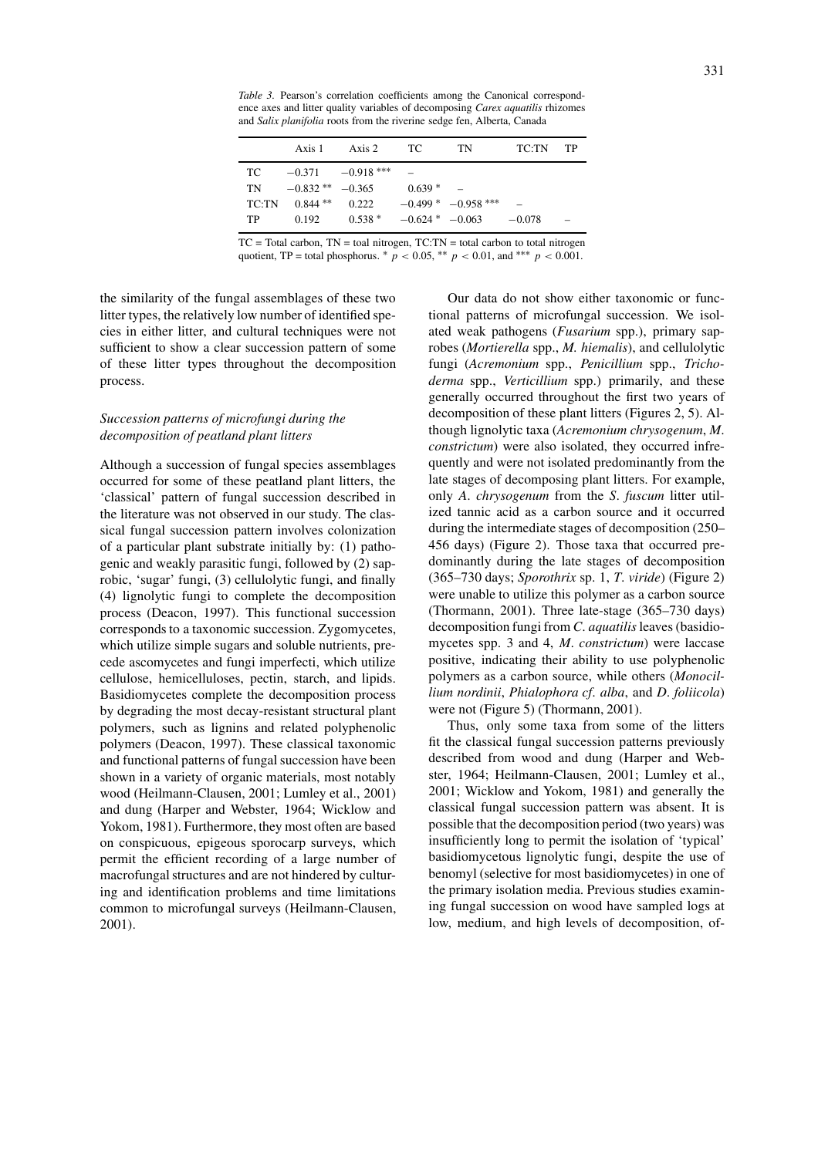*Table 3.* Pearson's correlation coefficients among the Canonical correspondence axes and litter quality variables of decomposing *Carex aquatilis* rhizomes and *Salix planifolia* roots from the riverine sedge fen, Alberta, Canada

|              |                        | Axis 1 Axis 2         | TC         | TN                    | TC:TN    | TP |
|--------------|------------------------|-----------------------|------------|-----------------------|----------|----|
| TC           |                        | $-0.371 -0.918$ *** – |            |                       |          |    |
|              | $TN = -0.832** -0.365$ |                       | $0.639*$ - |                       |          |    |
| <b>TC:TN</b> | $0.844$ **             | 0.222                 |            | $-0.499*$ $-0.958***$ |          |    |
| TP.          | 0.192                  | $0.538*$              |            | $-0.624* -0.063$      | $-0.078$ |    |
|              |                        |                       |            |                       |          |    |

 $TC = Total carbon, TN = total nitrogen, TC:TN = total carbon to total nitrogen$ quotient, TP = total phosphorus. \*  $p < 0.05$ , \*\*  $p < 0.01$ , and \*\*\*  $p < 0.001$ .

the similarity of the fungal assemblages of these two litter types, the relatively low number of identified species in either litter, and cultural techniques were not sufficient to show a clear succession pattern of some of these litter types throughout the decomposition process.

# *Succession patterns of microfungi during the decomposition of peatland plant litters*

Although a succession of fungal species assemblages occurred for some of these peatland plant litters, the 'classical' pattern of fungal succession described in the literature was not observed in our study. The classical fungal succession pattern involves colonization of a particular plant substrate initially by: (1) pathogenic and weakly parasitic fungi, followed by (2) saprobic, 'sugar' fungi, (3) cellulolytic fungi, and finally (4) lignolytic fungi to complete the decomposition process (Deacon, 1997). This functional succession corresponds to a taxonomic succession. Zygomycetes, which utilize simple sugars and soluble nutrients, precede ascomycetes and fungi imperfecti, which utilize cellulose, hemicelluloses, pectin, starch, and lipids. Basidiomycetes complete the decomposition process by degrading the most decay-resistant structural plant polymers, such as lignins and related polyphenolic polymers (Deacon, 1997). These classical taxonomic and functional patterns of fungal succession have been shown in a variety of organic materials, most notably wood (Heilmann-Clausen, 2001; Lumley et al., 2001) and dung (Harper and Webster, 1964; Wicklow and Yokom, 1981). Furthermore, they most often are based on conspicuous, epigeous sporocarp surveys, which permit the efficient recording of a large number of macrofungal structures and are not hindered by culturing and identification problems and time limitations common to microfungal surveys (Heilmann-Clausen, 2001).

Our data do not show either taxonomic or functional patterns of microfungal succession. We isolated weak pathogens (*Fusarium* spp.), primary saprobes (*Mortierella* spp., *M. hiemalis*), and cellulolytic fungi (*Acremonium* spp., *Penicillium* spp., *Trichoderma* spp., *Verticillium* spp.) primarily, and these generally occurred throughout the first two years of decomposition of these plant litters (Figures 2, 5). Although lignolytic taxa (*Acremonium chrysogenum*, *M*. *constrictum*) were also isolated, they occurred infrequently and were not isolated predominantly from the late stages of decomposing plant litters. For example, only *A*. *chrysogenum* from the *S*. *fuscum* litter utilized tannic acid as a carbon source and it occurred during the intermediate stages of decomposition (250– 456 days) (Figure 2). Those taxa that occurred predominantly during the late stages of decomposition (365–730 days; *Sporothrix* sp. 1, *T*. *viride*) (Figure 2) were unable to utilize this polymer as a carbon source (Thormann, 2001). Three late-stage (365–730 days) decomposition fungi from *C*. *aquatilis*leaves (basidiomycetes spp. 3 and 4, *M*. *constrictum*) were laccase positive, indicating their ability to use polyphenolic polymers as a carbon source, while others (*Monocillium nordinii*, *Phialophora cf*. *alba*, and *D*. *foliicola*) were not (Figure 5) (Thormann, 2001).

Thus, only some taxa from some of the litters fit the classical fungal succession patterns previously described from wood and dung (Harper and Webster, 1964; Heilmann-Clausen, 2001; Lumley et al., 2001; Wicklow and Yokom, 1981) and generally the classical fungal succession pattern was absent. It is possible that the decomposition period (two years) was insufficiently long to permit the isolation of 'typical' basidiomycetous lignolytic fungi, despite the use of benomyl (selective for most basidiomycetes) in one of the primary isolation media. Previous studies examining fungal succession on wood have sampled logs at low, medium, and high levels of decomposition, of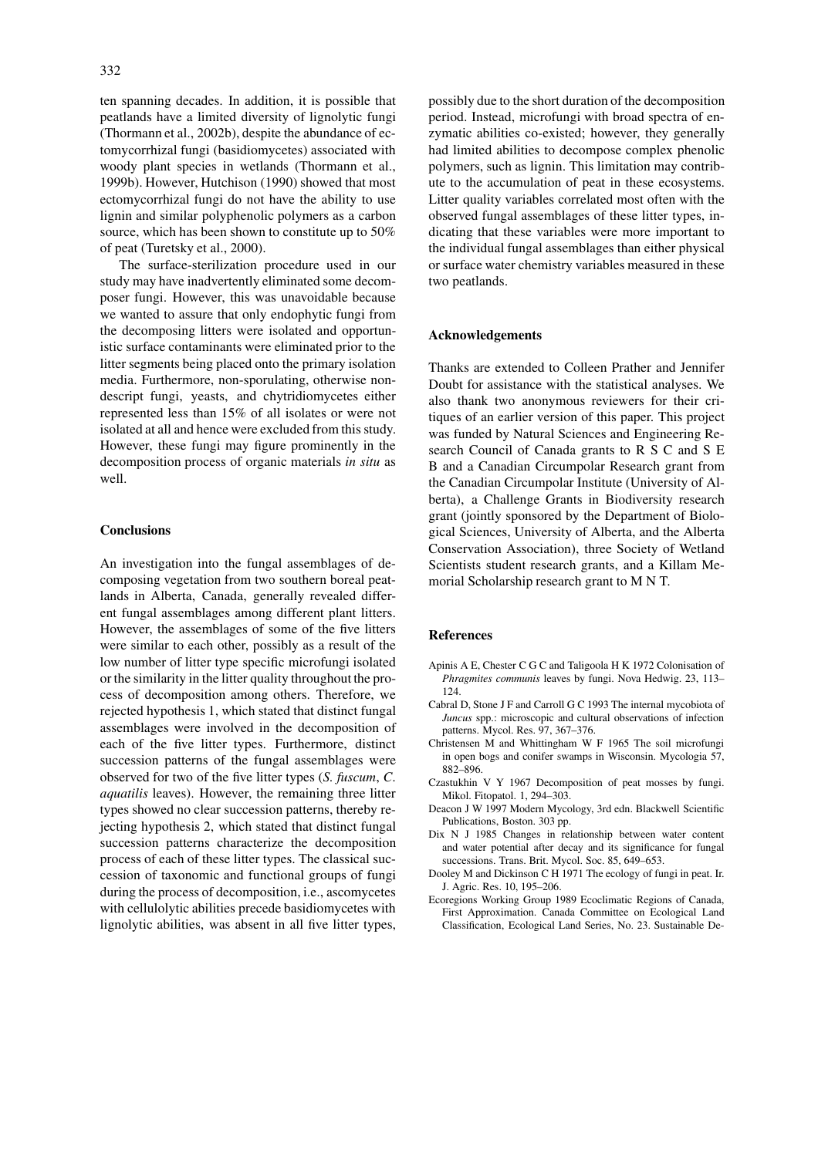ten spanning decades. In addition, it is possible that peatlands have a limited diversity of lignolytic fungi (Thormann et al., 2002b), despite the abundance of ectomycorrhizal fungi (basidiomycetes) associated with woody plant species in wetlands (Thormann et al., 1999b). However, Hutchison (1990) showed that most ectomycorrhizal fungi do not have the ability to use lignin and similar polyphenolic polymers as a carbon source, which has been shown to constitute up to 50% of peat (Turetsky et al., 2000).

The surface-sterilization procedure used in our study may have inadvertently eliminated some decomposer fungi. However, this was unavoidable because we wanted to assure that only endophytic fungi from the decomposing litters were isolated and opportunistic surface contaminants were eliminated prior to the litter segments being placed onto the primary isolation media. Furthermore, non-sporulating, otherwise nondescript fungi, yeasts, and chytridiomycetes either represented less than 15% of all isolates or were not isolated at all and hence were excluded from this study. However, these fungi may figure prominently in the decomposition process of organic materials *in situ* as well.

#### **Conclusions**

An investigation into the fungal assemblages of decomposing vegetation from two southern boreal peatlands in Alberta, Canada, generally revealed different fungal assemblages among different plant litters. However, the assemblages of some of the five litters were similar to each other, possibly as a result of the low number of litter type specific microfungi isolated or the similarity in the litter quality throughout the process of decomposition among others. Therefore, we rejected hypothesis 1, which stated that distinct fungal assemblages were involved in the decomposition of each of the five litter types. Furthermore, distinct succession patterns of the fungal assemblages were observed for two of the five litter types (*S. fuscum*, *C*. *aquatilis* leaves). However, the remaining three litter types showed no clear succession patterns, thereby rejecting hypothesis 2, which stated that distinct fungal succession patterns characterize the decomposition process of each of these litter types. The classical succession of taxonomic and functional groups of fungi during the process of decomposition, i.e., ascomycetes with cellulolytic abilities precede basidiomycetes with lignolytic abilities, was absent in all five litter types,

possibly due to the short duration of the decomposition period. Instead, microfungi with broad spectra of enzymatic abilities co-existed; however, they generally had limited abilities to decompose complex phenolic polymers, such as lignin. This limitation may contribute to the accumulation of peat in these ecosystems. Litter quality variables correlated most often with the observed fungal assemblages of these litter types, indicating that these variables were more important to the individual fungal assemblages than either physical or surface water chemistry variables measured in these two peatlands.

### **Acknowledgements**

Thanks are extended to Colleen Prather and Jennifer Doubt for assistance with the statistical analyses. We also thank two anonymous reviewers for their critiques of an earlier version of this paper. This project was funded by Natural Sciences and Engineering Research Council of Canada grants to R S C and S E B and a Canadian Circumpolar Research grant from the Canadian Circumpolar Institute (University of Alberta), a Challenge Grants in Biodiversity research grant (jointly sponsored by the Department of Biological Sciences, University of Alberta, and the Alberta Conservation Association), three Society of Wetland Scientists student research grants, and a Killam Memorial Scholarship research grant to M N T.

#### **References**

- Apinis A E, Chester C G C and Taligoola H K 1972 Colonisation of *Phragmites communis* leaves by fungi. Nova Hedwig. 23, 113– 124.
- Cabral D, Stone J F and Carroll G C 1993 The internal mycobiota of *Juncus* spp.: microscopic and cultural observations of infection patterns. Mycol. Res. 97, 367–376.
- Christensen M and Whittingham W F 1965 The soil microfungi in open bogs and conifer swamps in Wisconsin. Mycologia 57, 882–896.
- Czastukhin V Y 1967 Decomposition of peat mosses by fungi. Mikol. Fitopatol. 1, 294–303.
- Deacon J W 1997 Modern Mycology, 3rd edn. Blackwell Scientific Publications, Boston. 303 pp.
- Dix N J 1985 Changes in relationship between water content and water potential after decay and its significance for fungal successions. Trans. Brit. Mycol. Soc. 85, 649–653.
- Dooley M and Dickinson C H 1971 The ecology of fungi in peat. Ir. J. Agric. Res. 10, 195–206.
- Ecoregions Working Group 1989 Ecoclimatic Regions of Canada, First Approximation. Canada Committee on Ecological Land Classification, Ecological Land Series, No. 23. Sustainable De-